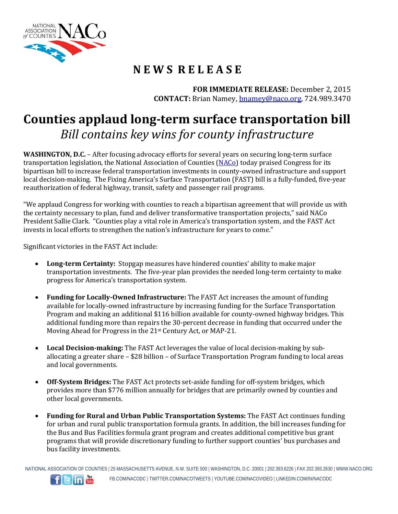

## **N E W S R E L E A S E**

**FOR IMMEDIATE RELEASE:** December 2, 2015 **CONTACT:** Brian Namey, [bnamey@naco.org,](mailto:bnamey@naco.org) 724.989.3470

## **Counties applaud long-term surface transportation bill**  *Bill contains key wins for county infrastructure*

**WASHINGTON, D.C.** – After focusing advocacy efforts for several years on securing long-term surface transportation legislation, the National Association of Counties [\(NACo\)](http://www.naco.org/) today praised Congress for its bipartisan bill to increase federal transportation investments in county-owned infrastructure and support local decision-making. The Fixing America's Surface Transportation (FAST) bill is a fully-funded, five-year reauthorization of federal highway, transit, safety and passenger rail programs.

"We applaud Congress for working with counties to reach a bipartisan agreement that will provide us with the certainty necessary to plan, fund and deliver transformative transportation projects," said NACo President Sallie Clark. "Counties play a vital role in America's transportation system, and the FAST Act invests in local efforts to strengthen the nation's infrastructure for years to come."

Significant victories in the FAST Act include:

- **Long-term Certainty:** Stopgap measures have hindered counties' ability to make major transportation investments. The five-year plan provides the needed long-term certainty to make progress for America's transportation system.
- **Funding for Locally-Owned Infrastructure:** The FAST Act increases the amount of funding available for locally-owned infrastructure by increasing funding for the Surface Transportation Program and making an additional \$116 billion available for county-owned highway bridges. This additional funding more than repairs the 30-percent decrease in funding that occurred under the Moving Ahead for Progress in the 21st Century Act, or MAP-21.
- **Local Decision-making:** The FAST Act leverages the value of local decision-making by suballocating a greater share – \$28 billion – of Surface Transportation Program funding to local areas and local governments.
- **Off-System Bridges:** The FAST Act protects set-aside funding for off-system bridges, which provides more than \$776 million annually for bridges that are primarily owned by counties and other local governments.
- **Funding for Rural and Urban Public Transportation Systems:** The FAST Act continues funding for urban and rural public transportation formula grants. In addition, the bill increases funding for the Bus and Bus Facilities formula grant program and creates additional competitive bus grant programs that will provide discretionary funding to further support counties' bus purchases and bus facility investments.

NATIONAL ASSOCIATION OF COUNTIES | 25 MASSACHUSETTS AVENUE, N.W. SUITE 500 | WASHINGTON, D.C. 20001 | 202.393.6226 | FAX 202.393.2630 | WWW.NACO.ORG FB.COM/NACODC | TWITTER.COM/NACOTWEETS | YOUTUBE.COM/NACOVIDEO | LINKEDIN.COM/IN/NACODC